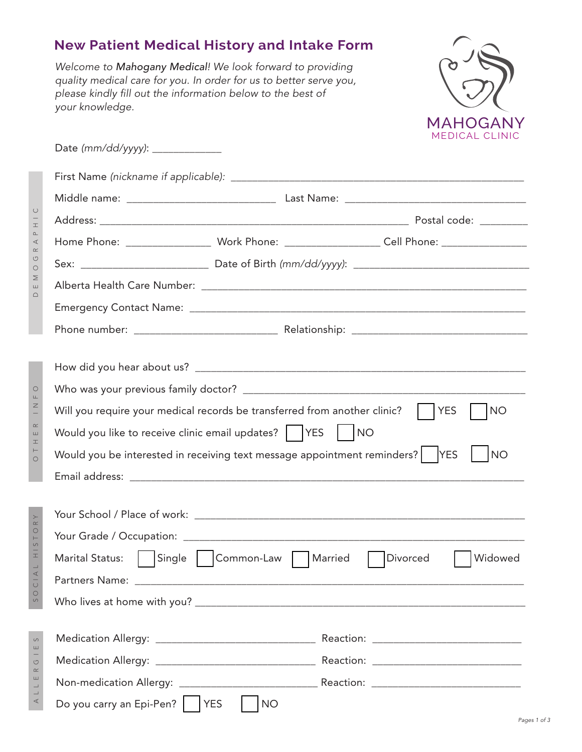## **New Patient Medical History and Intake Form**

Welcome to Mahogany Medical! We look forward to providing quality medical care for you. In order for us to better serve you, please kindly fill out the information below to the best of your knowledge.

DEMOGRAPHIC

 $\begin{array}{c}\n\Box \\
\Box\n\end{array}$ 

MOGRAPHIC

O H N H K H K H K H N

OTHER INFO

SOCIAL HISTORY

SOCIAL HISTORY

ALLERGIES

ALLERGIES



| Date (mm/dd/yyyy): ______________ |                                                                                                      |
|-----------------------------------|------------------------------------------------------------------------------------------------------|
|                                   |                                                                                                      |
|                                   |                                                                                                      |
|                                   |                                                                                                      |
|                                   | Home Phone: ______________________ Work Phone: ______________________Cell Phone: __________________  |
|                                   |                                                                                                      |
|                                   |                                                                                                      |
|                                   |                                                                                                      |
|                                   |                                                                                                      |
|                                   |                                                                                                      |
|                                   |                                                                                                      |
|                                   |                                                                                                      |
|                                   | Will you require your medical records be transferred from another clinic?<br><b>YES</b><br><b>NO</b> |
|                                   | Would you like to receive clinic email updates?     YES       NO                                     |
|                                   | Would you be interested in receiving text message appointment reminders?   YES<br><b>NO</b>          |
|                                   |                                                                                                      |
|                                   |                                                                                                      |
|                                   |                                                                                                      |
|                                   |                                                                                                      |
| <b>Marital Status:</b>            | Single   Common-Law   Married<br>Widowed<br>Divorced                                                 |
|                                   |                                                                                                      |
|                                   |                                                                                                      |
|                                   |                                                                                                      |
|                                   |                                                                                                      |
|                                   |                                                                                                      |
| Do you carry an Epi-Pen?   YES    | <b>NO</b>                                                                                            |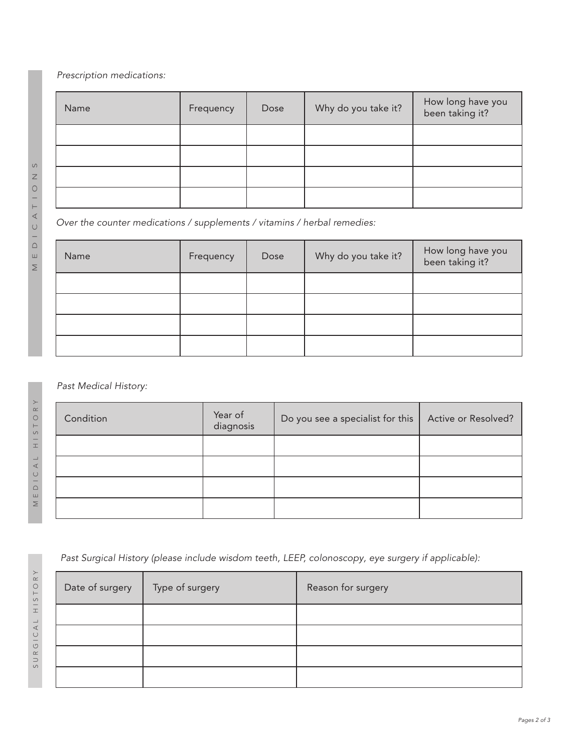Prescription medications:

| Name | Frequency | Dose | Why do you take it? | How long have you<br>been taking it? |
|------|-----------|------|---------------------|--------------------------------------|
|      |           |      |                     |                                      |
|      |           |      |                     |                                      |
|      |           |      |                     |                                      |
|      |           |      |                     |                                      |

Over the counter medications / supplements / vitamins / herbal remedies:

| Name | Frequency | Dose | Why do you take it? | How long have you<br>been taking it? |
|------|-----------|------|---------------------|--------------------------------------|
|      |           |      |                     |                                      |
|      |           |      |                     |                                      |
|      |           |      |                     |                                      |
|      |           |      |                     |                                      |

## Past Medical History:

| Condition | Year of<br>diagnosis | Do you see a specialist for this | Active or Resolved? |
|-----------|----------------------|----------------------------------|---------------------|
|           |                      |                                  |                     |
|           |                      |                                  |                     |
|           |                      |                                  |                     |
|           |                      |                                  |                     |

Past Surgical History (please include wisdom teeth, LEEP, colonoscopy, eye surgery if applicable):

| Date of surgery | Type of surgery | Reason for surgery |
|-----------------|-----------------|--------------------|
|                 |                 |                    |
|                 |                 |                    |
|                 |                 |                    |
|                 |                 |                    |

MEDICATIONS MEDICATION

 $\circ$ 

MEDICAL HISTORY MEDICAL HISTORY